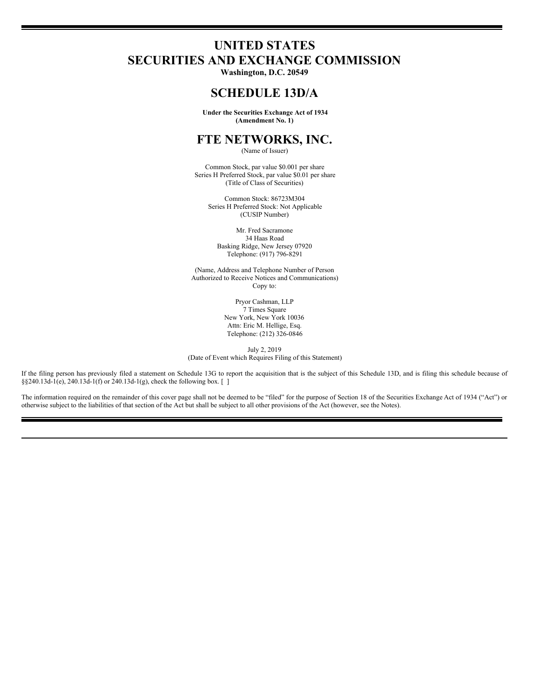# **UNITED STATES SECURITIES AND EXCHANGE COMMISSION**

**Washington, D.C. 20549**

## **SCHEDULE 13D/A**

**Under the Securities Exchange Act of 1934 (Amendment No. 1)**

## **FTE NETWORKS, INC.**

(Name of Issuer)

Common Stock, par value \$0.001 per share Series H Preferred Stock, par value \$0.01 per share (Title of Class of Securities)

Common Stock: 86723M304 Series H Preferred Stock: Not Applicable (CUSIP Number)

Mr. Fred Sacramone 34 Haas Road Basking Ridge, New Jersey 07920 Telephone: (917) 796-8291

(Name, Address and Telephone Number of Person Authorized to Receive Notices and Communications) Copy to:

> Pryor Cashman, LLP 7 Times Square New York, New York 10036 Attn: Eric M. Hellige, Esq. Telephone: (212) 326-0846

July 2, 2019 (Date of Event which Requires Filing of this Statement)

If the filing person has previously filed a statement on Schedule 13G to report the acquisition that is the subject of this Schedule 13D, and is filing this schedule because of §§240.13d-1(e), 240.13d-1(f) or 240.13d-1(g), check the following box. []

The information required on the remainder of this cover page shall not be deemed to be "filed" for the purpose of Section 18 of the Securities Exchange Act of 1934 ("Act") or otherwise subject to the liabilities of that section of the Act but shall be subject to all other provisions of the Act (however, see the Notes).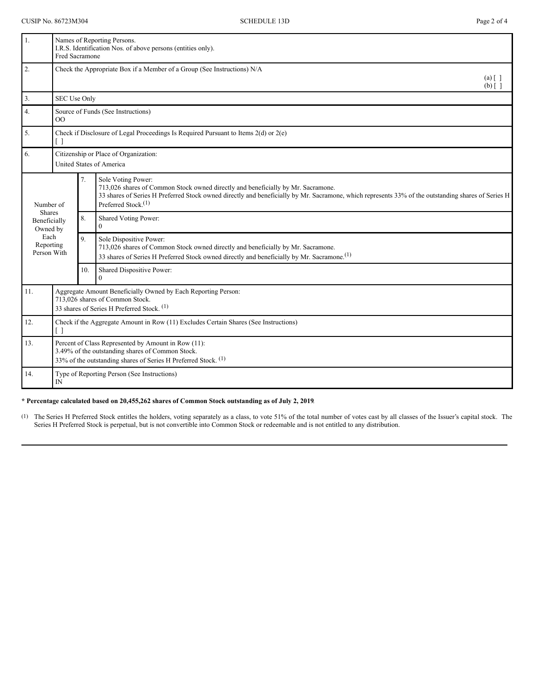| 1.                               | Names of Reporting Persons.<br>I.R.S. Identification Nos. of above persons (entities only).<br>Fred Sacramone                                                             |                |                                                                                                                                                                                                                                                                                        |
|----------------------------------|---------------------------------------------------------------------------------------------------------------------------------------------------------------------------|----------------|----------------------------------------------------------------------------------------------------------------------------------------------------------------------------------------------------------------------------------------------------------------------------------------|
| 2.                               | Check the Appropriate Box if a Member of a Group (See Instructions) N/A<br>$(a) \lceil \; \rceil$<br>$(b)$ [ ]                                                            |                |                                                                                                                                                                                                                                                                                        |
| 3.                               | SEC Use Only                                                                                                                                                              |                |                                                                                                                                                                                                                                                                                        |
| 4.                               | Source of Funds (See Instructions)<br>$\overline{O}$                                                                                                                      |                |                                                                                                                                                                                                                                                                                        |
| 5.                               | Check if Disclosure of Legal Proceedings Is Required Pursuant to Items $2(d)$ or $2(e)$<br>$\lceil$ $\rceil$                                                              |                |                                                                                                                                                                                                                                                                                        |
| 6.                               | Citizenship or Place of Organization:<br><b>United States of America</b>                                                                                                  |                |                                                                                                                                                                                                                                                                                        |
| Number of<br><b>Shares</b>       |                                                                                                                                                                           | 7.             | Sole Voting Power:<br>713,026 shares of Common Stock owned directly and beneficially by Mr. Sacramone.<br>33 shares of Series H Preferred Stock owned directly and beneficially by Mr. Sacramone, which represents 33% of the outstanding shares of Series H<br>Preferred Stock. $(1)$ |
| Beneficially<br>Owned by         |                                                                                                                                                                           | 8.             | Shared Voting Power:<br>$\Omega$                                                                                                                                                                                                                                                       |
| Each<br>Reporting<br>Person With |                                                                                                                                                                           | $\overline{Q}$ | Sole Dispositive Power:<br>713,026 shares of Common Stock owned directly and beneficially by Mr. Sacramone.<br>33 shares of Series H Preferred Stock owned directly and beneficially by Mr. Sacramone. <sup>(1)</sup>                                                                  |
|                                  |                                                                                                                                                                           | 10.            | Shared Dispositive Power:<br>$\Omega$                                                                                                                                                                                                                                                  |
| 11.                              | Aggregate Amount Beneficially Owned by Each Reporting Person:<br>713,026 shares of Common Stock.<br>33 shares of Series H Preferred Stock. (1)                            |                |                                                                                                                                                                                                                                                                                        |
| 12.                              | Check if the Aggregate Amount in Row (11) Excludes Certain Shares (See Instructions)<br>$\lceil$ $\rceil$                                                                 |                |                                                                                                                                                                                                                                                                                        |
| 13.                              | Percent of Class Represented by Amount in Row (11):<br>3.49% of the outstanding shares of Common Stock.<br>33% of the outstanding shares of Series H Preferred Stock. (1) |                |                                                                                                                                                                                                                                                                                        |
| 14.                              | Type of Reporting Person (See Instructions)<br>IN                                                                                                                         |                |                                                                                                                                                                                                                                                                                        |

#### **\* Percentage calculated based on 20,455,262 shares of Common Stock outstanding as of July 2, 2019**.

(1) The Series H Preferred Stock entitles the holders, voting separately as a class, to vote 51% of the total number of votes cast by all classes of the Issuer's capital stock. The Series H Preferred Stock is perpetual, but is not convertible into Common Stock or redeemable and is not entitled to any distribution.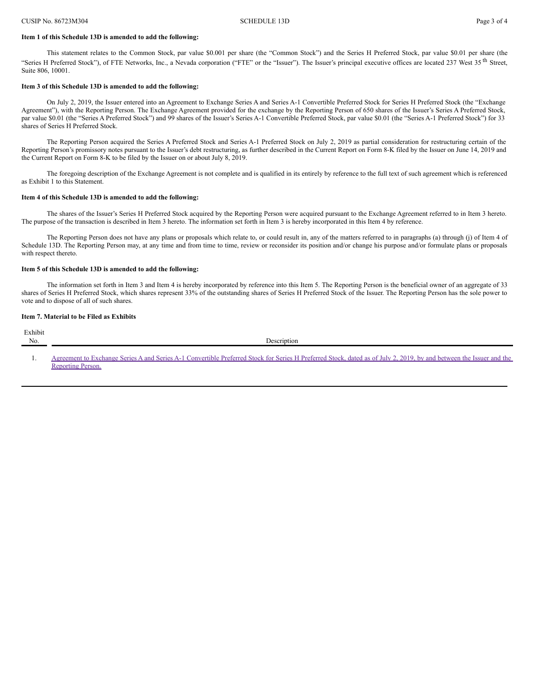#### **Item 1 of this Schedule 13D is amended to add the following:**

This statement relates to the Common Stock, par value \$0.001 per share (the "Common Stock") and the Series H Preferred Stock, par value \$0.01 per share (the "Series H Preferred Stock"), of FTE Networks, Inc., a Nevada corporation ("FTE" or the "Issuer"). The Issuer's principal executive offices are located 237 West 35<sup>th</sup> Street, Suite 806, 10001.

#### **Item 3 of this Schedule 13D is amended to add the following:**

On July 2, 2019, the Issuer entered into an Agreement to Exchange Series A and Series A-1 Convertible Preferred Stock for Series H Preferred Stock (the "Exchange Agreement"), with the Reporting Person. The Exchange Agreement provided for the exchange by the Reporting Person of 650 shares of the Issuer's Series A Preferred Stock, par value \$0.01 (the "Series A Preferred Stock") and 99 shares of the Issuer's Series A-1 Convertible Preferred Stock, par value \$0.01 (the "Series A-1 Preferred Stock") for 33 shares of Series H Preferred Stock.

The Reporting Person acquired the Series A Preferred Stock and Series A-1 Preferred Stock on July 2, 2019 as partial consideration for restructuring certain of the Reporting Person's promissory notes pursuant to the Issuer's debt restructuring, as further described in the Current Report on Form 8-K filed by the Issuer on June 14, 2019 and the Current Report on Form 8-K to be filed by the Issuer on or about July 8, 2019.

The foregoing description of the Exchange Agreement is not complete and is qualified in its entirely by reference to the full text of such agreement which is referenced as Exhibit 1 to this Statement.

#### **Item 4 of this Schedule 13D is amended to add the following:**

The shares of the Issuer's Series H Preferred Stock acquired by the Reporting Person were acquired pursuant to the Exchange Agreement referred to in Item 3 hereto. The purpose of the transaction is described in Item 3 hereto. The information set forth in Item 3 is hereby incorporated in this Item 4 by reference.

The Reporting Person does not have any plans or proposals which relate to, or could result in, any of the matters referred to in paragraphs (a) through (j) of Item 4 of Schedule 13D. The Reporting Person may, at any time and from time to time, review or reconsider its position and/or change his purpose and/or formulate plans or proposals with respect thereto.

#### **Item 5 of this Schedule 13D is amended to add the following:**

The information set forth in Item 3 and Item 4 is hereby incorporated by reference into this Item 5. The Reporting Person is the beneficial owner of an aggregate of 33 shares of Series H Preferred Stock, which shares represent 33% of the outstanding shares of Series H Preferred Stock of the Issuer. The Reporting Person has the sole power to vote and to dispose of all of such shares.

#### **Item 7. Material to be Filed as Exhibits**

| Exhibit |                                                                                                                                                                     |
|---------|---------------------------------------------------------------------------------------------------------------------------------------------------------------------|
|         | Description                                                                                                                                                         |
|         |                                                                                                                                                                     |
|         | Agreement to Exchange Series A and Series A-1 Convertible Preferred Stock for Series H Preferred Stock, dated as of July 2, 2019, by and between the Issuer and the |
|         |                                                                                                                                                                     |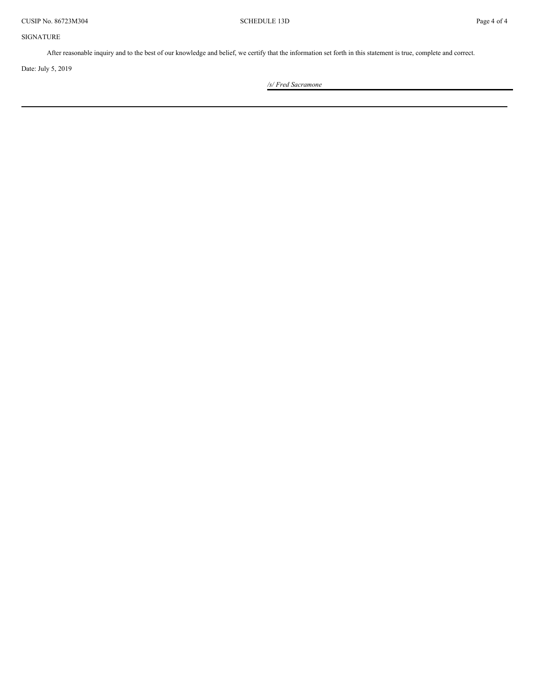SIGNATURE

After reasonable inquiry and to the best of our knowledge and belief, we certify that the information set forth in this statement is true, complete and correct.

Date: July 5, 2019

*/s/ Fred Sacramone*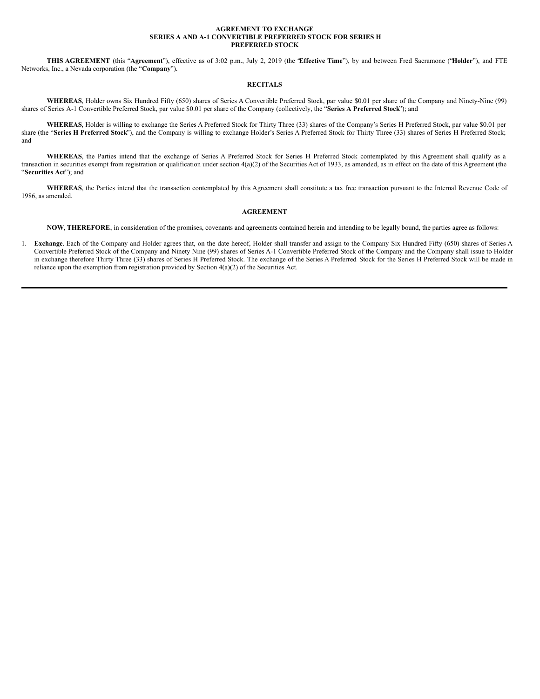#### **AGREEMENT TO EXCHANGE SERIES A AND A-1 CONVERTIBLE PREFERRED STOCK FOR SERIES H PREFERRED STOCK**

**THIS AGREEMENT** (this "**Agreement**"), effective as of 3:02 p.m., July 2, 2019 (the "**Effective Time**"), by and between Fred Sacramone ("**Holder**"), and FTE Networks, Inc., a Nevada corporation (the "**Company**").

#### **RECITALS**

**WHEREAS**, Holder owns Six Hundred Fifty (650) shares of Series A Convertible Preferred Stock, par value \$0.01 per share of the Company and Ninety-Nine (99) shares of Series A-1 Convertible Preferred Stock, par value \$0.01 per share of the Company (collectively, the "**Series A Preferred Stock**"); and

**WHEREAS**, Holder is willing to exchange the Series A Preferred Stock for Thirty Three (33) shares of the Company's Series H Preferred Stock, par value \$0.01 per share (the "**Series H Preferred Stock**"), and the Company is willing to exchange Holder's Series A Preferred Stock for Thirty Three (33) shares of Series H Preferred Stock; and

**WHEREAS**, the Parties intend that the exchange of Series A Preferred Stock for Series H Preferred Stock contemplated by this Agreement shall qualify as a transaction in securities exempt from registration or qualification under section 4(a)(2) of the Securities Act of 1933, as amended, as in effect on the date of this Agreement (the "**Securities Act**"); and

**WHEREAS**, the Parties intend that the transaction contemplated by this Agreement shall constitute a tax free transaction pursuant to the Internal Revenue Code of 1986, as amended.

#### **AGREEMENT**

**NOW**, **THEREFORE**, in consideration of the promises, covenants and agreements contained herein and intending to be legally bound, the parties agree as follows:

1. **Exchange**. Each of the Company and Holder agrees that, on the date hereof, Holder shall transfer and assign to the Company Six Hundred Fifty (650) shares of Series A Convertible Preferred Stock of the Company and Ninety Nine (99) shares of Series A-1 Convertible Preferred Stock of the Company and the Company shall issue to Holder in exchange therefore Thirty Three (33) shares of Series H Preferred Stock. The exchange of the Series A Preferred Stock for the Series H Preferred Stock will be made in reliance upon the exemption from registration provided by Section 4(a)(2) of the Securities Act.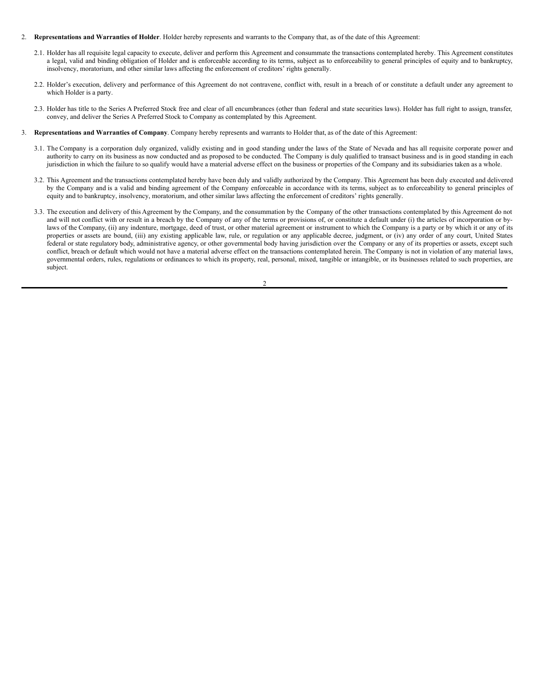#### 2. **Representations and Warranties of Holder**. Holder hereby represents and warrants to the Company that, as of the date of this Agreement:

- 2.1. Holder has all requisite legal capacity to execute, deliver and perform this Agreement and consummate the transactions contemplated hereby. This Agreement constitutes a legal, valid and binding obligation of Holder and is enforceable according to its terms, subject as to enforceability to general principles of equity and to bankruptcy, insolvency, moratorium, and other similar laws affecting the enforcement of creditors' rights generally.
- 2.2. Holder's execution, delivery and performance of this Agreement do not contravene, conflict with, result in a breach of or constitute a default under any agreement to which Holder is a party.
- 2.3. Holder has title to the Series A Preferred Stock free and clear of all encumbrances (other than federal and state securities laws). Holder has full right to assign, transfer, convey, and deliver the Series A Preferred Stock to Company as contemplated by this Agreement.
- 3. **Representations and Warranties of Company**. Company hereby represents and warrants to Holder that, as of the date of this Agreement:
	- 3.1. The Company is a corporation duly organized, validly existing and in good standing under the laws of the State of Nevada and has all requisite corporate power and authority to carry on its business as now conducted and as proposed to be conducted. The Company is duly qualified to transact business and is in good standing in each jurisdiction in which the failure to so qualify would have a material adverse effect on the business or properties of the Company and its subsidiaries taken as a whole.
	- 3.2. This Agreement and the transactions contemplated hereby have been duly and validly authorized by the Company. This Agreement has been duly executed and delivered by the Company and is a valid and binding agreement of the Company enforceable in accordance with its terms, subject as to enforceability to general principles of equity and to bankruptcy, insolvency, moratorium, and other similar laws affecting the enforcement of creditors' rights generally.
	- 3.3. The execution and delivery of this Agreement by the Company, and the consummation by the Company of the other transactions contemplated by this Agreement do not and will not conflict with or result in a breach by the Company of any of the terms or provisions of, or constitute a default under (i) the articles of incorporation or bylaws of the Company, (ii) any indenture, mortgage, deed of trust, or other material agreement or instrument to which the Company is a party or by which it or any of its properties or assets are bound, (iii) any existing applicable law, rule, or regulation or any applicable decree, judgment, or (iv) any order of any court, United States federal or state regulatory body, administrative agency, or other governmental body having jurisdiction over the Company or any of its properties or assets, except such conflict, breach or default which would not have a material adverse effect on the transactions contemplated herein. The Company is not in violation of any material laws, governmental orders, rules, regulations or ordinances to which its property, real, personal, mixed, tangible or intangible, or its businesses related to such properties, are subject.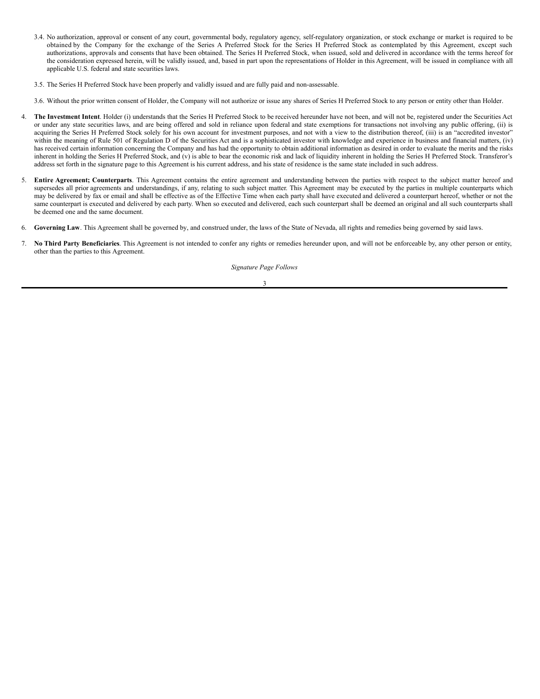- <span id="page-7-0"></span>3.4. No authorization, approval or consent of any court, governmental body, regulatory agency, self-regulatory organization, or stock exchange or market is required to be obtained by the Company for the exchange of the Series A Preferred Stock for the Series H Preferred Stock as contemplated by this Agreement, except such authorizations, approvals and consents that have been obtained. The Series H Preferred Stock, when issued, sold and delivered in accordance with the terms hereof for the consideration expressed herein, will be validly issued, and, based in part upon the representations of Holder in this Agreement, will be issued in compliance with all applicable U.S. federal and state securities laws.
- 3.5. The Series H Preferred Stock have been properly and validly issued and are fully paid and non-assessable.

3.6. Without the prior written consent of Holder, the Company will not authorize or issue any shares of Series H Preferred Stock to any person or entity other than Holder.

- 4. **The Investment Intent**. Holder (i) understands that the Series H Preferred Stock to be received hereunder have not been, and will not be, registered under the Securities Act or under any state securities laws, and are being offered and sold in reliance upon federal and state exemptions for transactions not involving any public offering, (ii) is acquiring the Series H Preferred Stock solely for his own account for investment purposes, and not with a view to the distribution thereof, (iii) is an "accredited investor" within the meaning of Rule 501 of Regulation D of the Securities Act and is a sophisticated investor with knowledge and experience in business and financial matters, (iv) has received certain information concerning the Company and has had the opportunity to obtain additional information as desired in order to evaluate the merits and the risks inherent in holding the Series H Preferred Stock, and (v) is able to bear the economic risk and lack of liquidity inherent in holding the Series H Preferred Stock. Transferor's address set forth in the signature page to this Agreement is his current address, and his state of residence is the same state included in such address.
- 5. **Entire Agreement; Counterparts**. This Agreement contains the entire agreement and understanding between the parties with respect to the subject matter hereof and supersedes all prior agreements and understandings, if any, relating to such subject matter. This Agreement may be executed by the parties in multiple counterparts which may be delivered by fax or email and shall be effective as of the Effective Time when each party shall have executed and delivered a counterpart hereof, whether or not the same counterpart is executed and delivered by each party. When so executed and delivered, each such counterpart shall be deemed an original and all such counterparts shall be deemed one and the same document.
- 6. **Governing Law**. This Agreement shall be governed by, and construed under, the laws of the State of Nevada, all rights and remedies being governed by said laws.
- 7. **No Third Party Beneficiaries**. This Agreement is not intended to confer any rights or remedies hereunder upon, and will not be enforceable by, any other person or entity, other than the parties to this Agreement.

*Signature Page Follows*

3